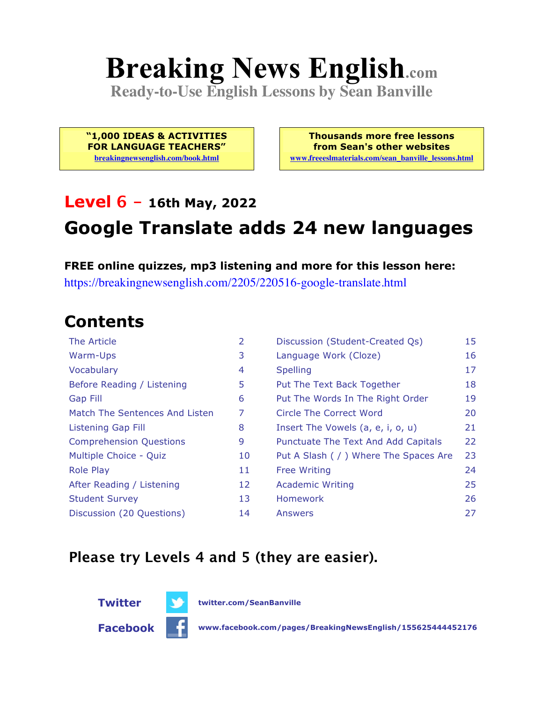# **Breaking News English.com**

**Ready-to-Use English Lessons by Sean Banville**

**"1,000 IDEAS & ACTIVITIES FOR LANGUAGE TEACHERS" breakingnewsenglish.com/book.html**

**Thousands more free lessons from Sean's other websites www.freeeslmaterials.com/sean\_banville\_lessons.html**

## **Level 6 - 16th May, 2022 Google Translate adds 24 new languages**

#### **FREE online quizzes, mp3 listening and more for this lesson here:**

https://breakingnewsenglish.com/2205/220516-google-translate.html

#### **Contents**

| The Article                    | 2  | Discussion (Student-Created Qs)        | 15 |
|--------------------------------|----|----------------------------------------|----|
| Warm-Ups                       | 3  | Language Work (Cloze)                  | 16 |
| Vocabulary                     | 4  | <b>Spelling</b>                        | 17 |
| Before Reading / Listening     | 5  | Put The Text Back Together             | 18 |
| Gap Fill                       | 6  | Put The Words In The Right Order       | 19 |
| Match The Sentences And Listen | 7  | Circle The Correct Word                | 20 |
| Listening Gap Fill             | 8  | Insert The Vowels (a, e, i, o, u)      | 21 |
| <b>Comprehension Questions</b> | 9  | Punctuate The Text And Add Capitals    | 22 |
| Multiple Choice - Quiz         | 10 | Put A Slash ( / ) Where The Spaces Are | 23 |
| <b>Role Play</b>               | 11 | <b>Free Writing</b>                    | 24 |
| After Reading / Listening      | 12 | <b>Academic Writing</b>                | 25 |
| <b>Student Survey</b>          | 13 | <b>Homework</b>                        | 26 |
| Discussion (20 Questions)      | 14 | Answers                                | 27 |

#### **Please try Levels 4 and 5 (they are easier).**



**Twitter twitter.com/SeanBanville**

**Facebook www.facebook.com/pages/BreakingNewsEnglish/155625444452176**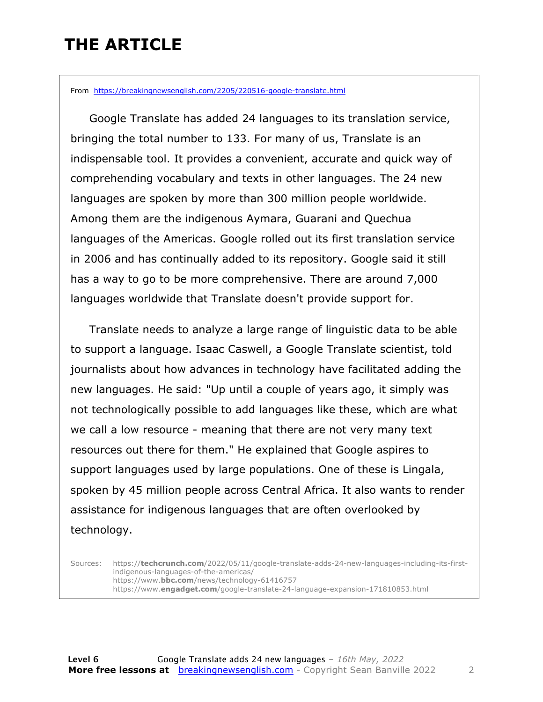### **THE ARTICLE**

From https://breakingnewsenglish.com/2205/220516-google-translate.html

 Google Translate has added 24 languages to its translation service, bringing the total number to 133. For many of us, Translate is an indispensable tool. It provides a convenient, accurate and quick way of comprehending vocabulary and texts in other languages. The 24 new languages are spoken by more than 300 million people worldwide. Among them are the indigenous Aymara, Guarani and Quechua languages of the Americas. Google rolled out its first translation service in 2006 and has continually added to its repository. Google said it still has a way to go to be more comprehensive. There are around 7,000 languages worldwide that Translate doesn't provide support for.

 Translate needs to analyze a large range of linguistic data to be able to support a language. Isaac Caswell, a Google Translate scientist, told journalists about how advances in technology have facilitated adding the new languages. He said: "Up until a couple of years ago, it simply was not technologically possible to add languages like these, which are what we call a low resource - meaning that there are not very many text resources out there for them." He explained that Google aspires to support languages used by large populations. One of these is Lingala, spoken by 45 million people across Central Africa. It also wants to render assistance for indigenous languages that are often overlooked by technology.

Sources: https://**techcrunch.com**/2022/05/11/google-translate-adds-24-new-languages-including-its-firstindigenous-languages-of-the-americas/ https://www.**bbc.com**/news/technology-61416757 https://www.**engadget.com**/google-translate-24-language-expansion-171810853.html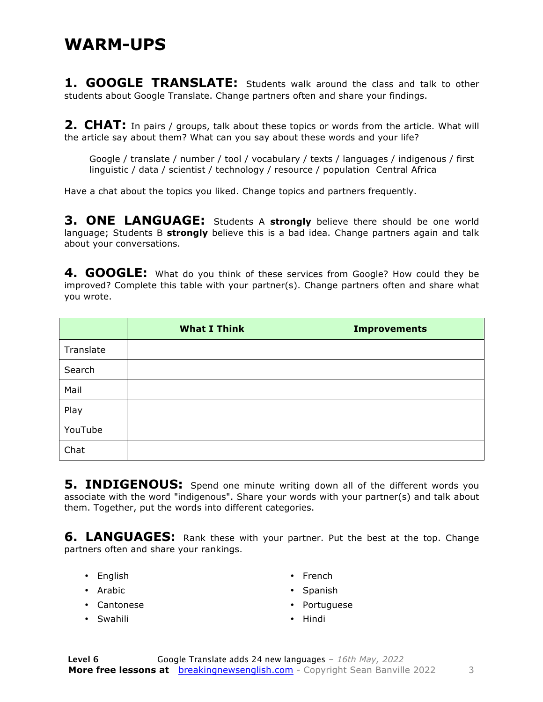**1. GOOGLE TRANSLATE:** Students walk around the class and talk to other students about Google Translate. Change partners often and share your findings.

**2. CHAT:** In pairs / groups, talk about these topics or words from the article. What will the article say about them? What can you say about these words and your life?

Google / translate / number / tool / vocabulary / texts / languages / indigenous / first linguistic / data / scientist / technology / resource / population Central Africa

Have a chat about the topics you liked. Change topics and partners frequently.

**3. ONE LANGUAGE:** Students A **strongly** believe there should be one world language; Students B **strongly** believe this is a bad idea. Change partners again and talk about your conversations.

**4. GOOGLE:** What do you think of these services from Google? How could they be improved? Complete this table with your partner(s). Change partners often and share what you wrote.

|           | <b>What I Think</b> | <b>Improvements</b> |
|-----------|---------------------|---------------------|
| Translate |                     |                     |
| Search    |                     |                     |
| Mail      |                     |                     |
| Play      |                     |                     |
| YouTube   |                     |                     |
| Chat      |                     |                     |

**5. INDIGENOUS:** Spend one minute writing down all of the different words you associate with the word "indigenous". Share your words with your partner(s) and talk about them. Together, put the words into different categories.

**6. LANGUAGES:** Rank these with your partner. Put the best at the top. Change partners often and share your rankings.

- English
- Arabic
- Cantonese
- Swahili
- French
- Spanish
- Portuguese
- Hindi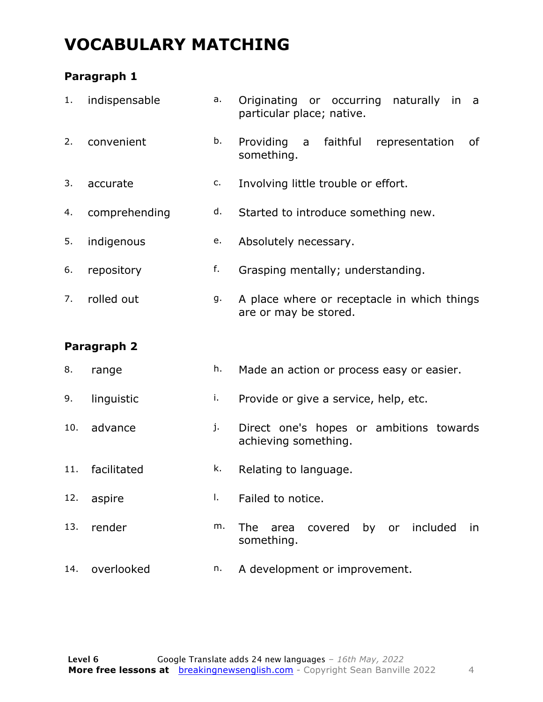### **VOCABULARY MATCHING**

#### **Paragraph 1**

| 1.  | indispensable | a. | Originating or occurring naturally<br>in<br>a<br>particular place; native. |
|-----|---------------|----|----------------------------------------------------------------------------|
| 2.  | convenient    | b. | Providing<br>faithful<br>of<br>a<br>representation<br>something.           |
| 3.  | accurate      | c. | Involving little trouble or effort.                                        |
| 4.  | comprehending | d. | Started to introduce something new.                                        |
| 5.  | indigenous    | e. | Absolutely necessary.                                                      |
| 6.  | repository    | f. | Grasping mentally; understanding.                                          |
| 7.  | rolled out    | g. | A place where or receptacle in which things<br>are or may be stored.       |
|     |               |    |                                                                            |
|     | Paragraph 2   |    |                                                                            |
| 8.  | range         | h. | Made an action or process easy or easier.                                  |
| 9.  | linguistic    | i. | Provide or give a service, help, etc.                                      |
| 10. | advance       | j. | Direct one's hopes or ambitions towards<br>achieving something.            |
| 11. | facilitated   | k. | Relating to language.                                                      |
| 12. | aspire        | I. | Failed to notice.                                                          |
| 13. | render        | m. | covered by or included<br>The<br>area<br>in<br>something.                  |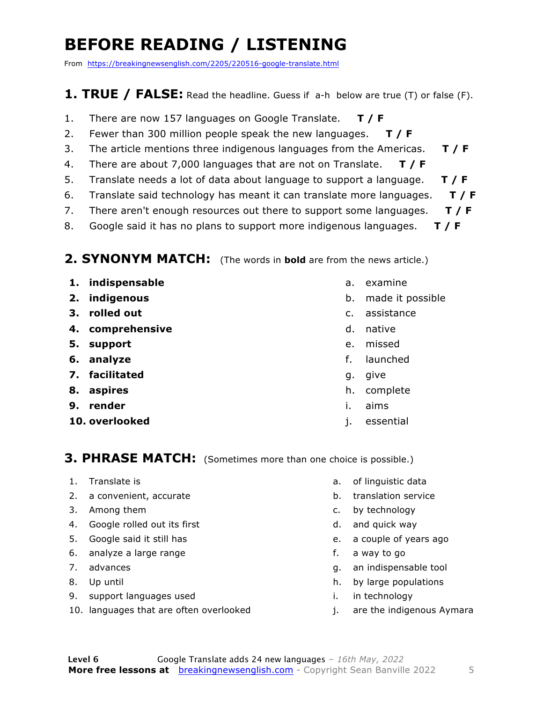### **BEFORE READING / LISTENING**

From https://breakingnewsenglish.com/2205/220516-google-translate.html

#### **1. TRUE / FALSE:** Read the headline. Guess if a-h below are true (T) or false (F).

- 1. There are now 157 languages on Google Translate. **T / F**
- 2. Fewer than 300 million people speak the new languages. **T / F**
- 3. The article mentions three indigenous languages from the Americas. **T / F**
- 4. There are about 7,000 languages that are not on Translate. **T / F**
- 5. Translate needs a lot of data about language to support a language. **T / F**
- 6. Translate said technology has meant it can translate more languages. **T / F**
- 7. There aren't enough resources out there to support some languages. **T / F**
- 8. Google said it has no plans to support more indigenous languages. **T / F**

#### **2. SYNONYM MATCH:** (The words in **bold** are from the news article.)

- **1. indispensable**
- **2. indigenous**
- **3. rolled out**
- **4. comprehensive**
- **5. support**
- **6. analyze**
- **7. facilitated**
- **8. aspires**
- **9. render**
- **10. overlooked**
- a. examine
- b. made it possible
- c. assistance
- d. native
- e. missed
- f. launched
- g. give
- h. complete
- i. aims
- j. essential

#### **3. PHRASE MATCH:** (Sometimes more than one choice is possible.)

- 1. Translate is
- 2. a convenient, accurate
- 3. Among them
- 4. Google rolled out its first
- 5. Google said it still has
- 6. analyze a large range
- 7. advances
- 8. Up until
- 9. support languages used
- 10. languages that are often overlooked
- a. of linguistic data
- b. translation service
- c. by technology
- d. and quick way
- e. a couple of years ago
- f. a way to go
- g. an indispensable tool
- h. by large populations
- i. in technology
- j. are the indigenous Aymara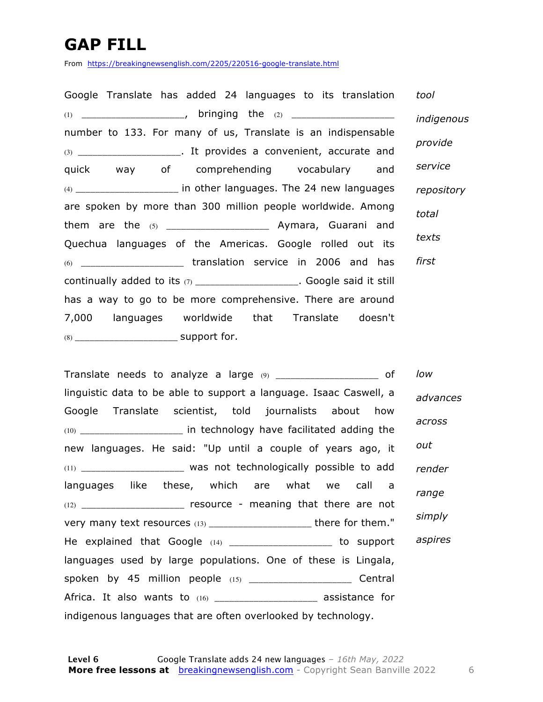### **GAP FILL**

From https://breakingnewsenglish.com/2205/220516-google-translate.html

| Google Translate has added 24 languages to its translation               | tool       |
|--------------------------------------------------------------------------|------------|
|                                                                          | indigenous |
| number to 133. For many of us, Translate is an indispensable             |            |
| (3) ________________________. It provides a convenient, accurate and     | provide    |
| quick way of comprehending vocabulary and                                | service    |
| (4) ________________________ in other languages. The 24 new languages    | repository |
| are spoken by more than 300 million people worldwide. Among              | total      |
|                                                                          |            |
| Quechua languages of the Americas. Google rolled out its                 | texts      |
|                                                                          | first      |
| continually added to its (7) _____________________. Google said it still |            |
| has a way to go to be more comprehensive. There are around               |            |
| 7,000 languages worldwide that Translate doesn't                         |            |
|                                                                          |            |

Translate needs to analyze a large (9) \_\_\_\_\_\_\_\_\_\_\_\_\_\_\_\_\_\_\_\_\_\_\_ of linguistic data to be able to support a language. Isaac Caswell, a Google Translate scientist, told journalists about how (10) \_\_\_\_\_\_\_\_\_\_\_\_\_\_\_\_\_\_\_\_\_ in technology have facilitated adding the new languages. He said: "Up until a couple of years ago, it (11) \_\_\_\_\_\_\_\_\_\_\_\_\_\_\_\_\_\_\_\_\_ was not technologically possible to add languages like these, which are what we call a (12) \_\_\_\_\_\_\_\_\_\_\_\_\_\_\_\_\_\_\_\_\_ resource - meaning that there are not very many text resources (13) \_\_\_\_\_\_\_\_\_\_\_\_\_\_\_\_\_\_\_\_\_\_\_ there for them." He explained that Google (14) \_\_\_\_\_\_\_\_\_\_\_\_\_\_\_\_\_\_\_\_ to support languages used by large populations. One of these is Lingala, spoken by 45 million people (15) \_\_\_\_\_\_\_\_\_\_\_\_\_\_\_\_\_\_\_\_\_\_\_\_ Central Africa. It also wants to (16) \_\_\_\_\_\_\_\_\_\_\_\_\_\_\_\_\_\_\_\_\_\_\_ assistance for indigenous languages that are often overlooked by technology. *low advances across out render range simply aspires*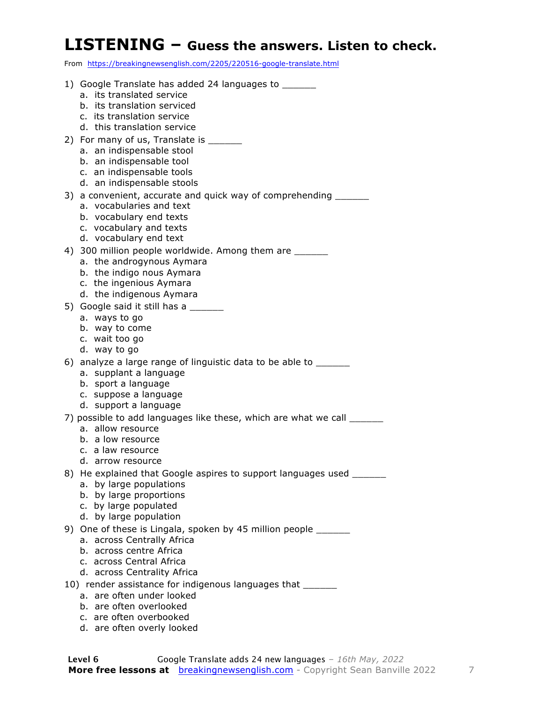#### **LISTENING – Guess the answers. Listen to check.**

From https://breakingnewsenglish.com/2205/220516-google-translate.html

- 1) Google Translate has added 24 languages to \_\_\_\_\_\_
	- a. its translated service
	- b. its translation serviced
	- c. its translation service
	- d. this translation service
- 2) For many of us, Translate is \_\_\_\_\_\_\_
	- a. an indispensable stool
	- b. an indispensable tool
	- c. an indispensable tools
	- d. an indispensable stools
- 3) a convenient, accurate and quick way of comprehending \_\_\_\_\_\_\_
	- a. vocabularies and text
	- b. vocabulary end texts
	- c. vocabulary and texts
	- d. vocabulary end text
- 4) 300 million people worldwide. Among them are \_\_\_\_\_\_
	- a. the androgynous Aymara
	- b. the indigo nous Aymara
	- c. the ingenious Aymara
	- d. the indigenous Aymara
- 5) Google said it still has a
	- a. ways to go
	- b. way to come
	- c. wait too go
	- d. way to go
- 6) analyze a large range of linguistic data to be able to \_\_\_\_\_\_
	- a. supplant a language
	- b. sport a language
	- c. suppose a language
	- d. support a language
- 7) possible to add languages like these, which are what we call
	- a. allow resource
	- b. a low resource
	- c. a law resource
	- d. arrow resource
- 8) He explained that Google aspires to support languages used
	- a. by large populations
	- b. by large proportions
	- c. by large populated
	- d. by large population
- 9) One of these is Lingala, spoken by 45 million people \_\_\_\_\_\_
	- a. across Centrally Africa
	- b. across centre Africa
	- c. across Central Africa
	- d. across Centrality Africa
- 10) render assistance for indigenous languages that
	- a. are often under looked
	- b. are often overlooked
	- c. are often overbooked
	- d. are often overly looked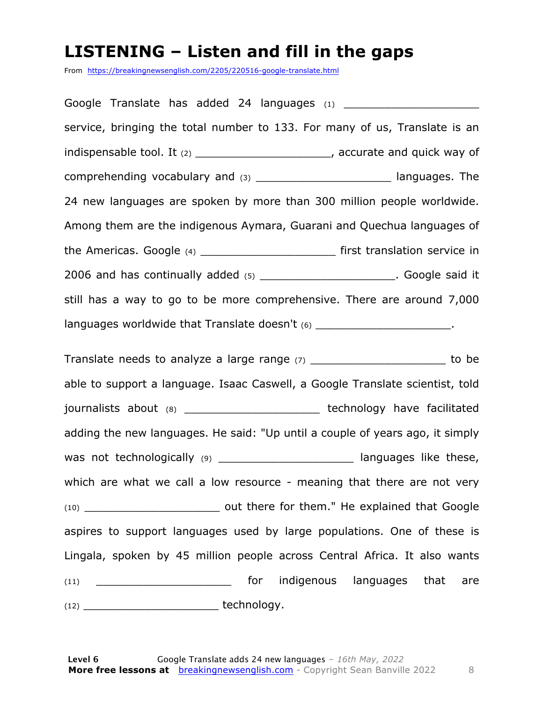#### **LISTENING – Listen and fill in the gaps**

From https://breakingnewsenglish.com/2205/220516-google-translate.html

Google Translate has added 24 languages  $(1)$ service, bringing the total number to 133. For many of us, Translate is an indispensable tool. It (2) \_\_\_\_\_\_\_\_\_\_\_\_\_\_\_\_\_\_\_\_\_\_\_\_, accurate and quick way of comprehending vocabulary and (3) comprehending vocabulary and (3) 24 new languages are spoken by more than 300 million people worldwide. Among them are the indigenous Aymara, Guarani and Quechua languages of the Americas. Google (4) example the Americas. Google (4) 2006 and has continually added (5) **2006** and has continually added (5) still has a way to go to be more comprehensive. There are around 7,000 languages worldwide that Translate doesn't (6) \_\_\_\_\_\_\_\_\_\_\_\_\_\_\_\_\_\_\_\_\_\_\_\_. Translate needs to analyze a large range  $(7)$  \_\_\_\_\_\_\_\_\_\_\_\_\_\_\_\_\_\_\_\_\_\_\_\_\_\_\_ to be able to support a language. Isaac Caswell, a Google Translate scientist, told journalists about (8) contract the extending technology have facilitated adding the new languages. He said: "Up until a couple of years ago, it simply was not technologically (9) \_\_\_\_\_\_\_\_\_\_\_\_\_\_\_\_\_\_\_\_\_\_\_\_\_\_ languages like these, which are what we call a low resource - meaning that there are not very (10) \_\_\_\_\_\_\_\_\_\_\_\_\_\_\_\_\_\_\_\_ out there for them." He explained that Google aspires to support languages used by large populations. One of these is Lingala, spoken by 45 million people across Central Africa. It also wants (11) **Example 2 contract of the indigenous languages that are**  $(12)$  technology.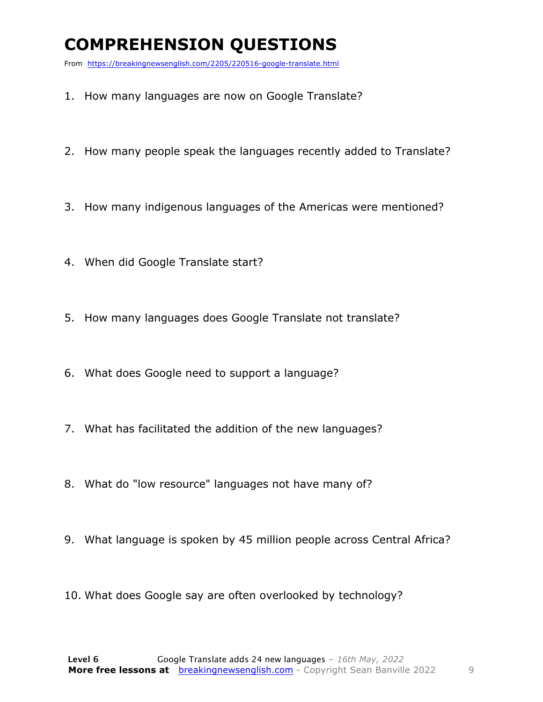### **COMPREHENSION QUESTIONS**

From https://breakingnewsenglish.com/2205/220516-google-translate.html

- 1. How many languages are now on Google Translate?
- 2. How many people speak the languages recently added to Translate?
- 3. How many indigenous languages of the Americas were mentioned?
- 4. When did Google Translate start?
- 5. How many languages does Google Translate not translate?
- 6. What does Google need to support a language?
- 7. What has facilitated the addition of the new languages?
- 8. What do "low resource" languages not have many of?
- 9. What language is spoken by 45 million people across Central Africa?
- 10. What does Google say are often overlooked by technology?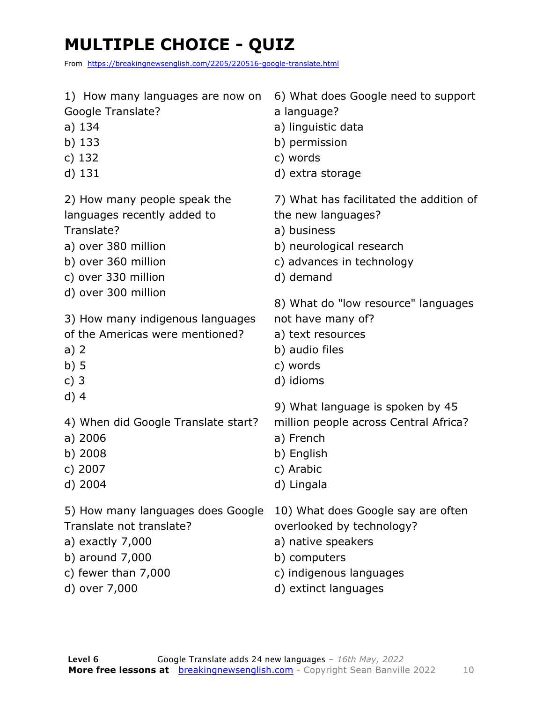### **MULTIPLE CHOICE - QUIZ**

From https://breakingnewsenglish.com/2205/220516-google-translate.html

| 1) How many languages are now on    | 6) What does Google need to support     |
|-------------------------------------|-----------------------------------------|
| Google Translate?                   | a language?                             |
| a) 134                              | a) linguistic data                      |
| b) $133$                            | b) permission                           |
| c) $132$                            | c) words                                |
| d) 131                              | d) extra storage                        |
| 2) How many people speak the        | 7) What has facilitated the addition of |
| languages recently added to         | the new languages?                      |
| Translate?                          | a) business                             |
| a) over 380 million                 | b) neurological research                |
| b) over 360 million                 | c) advances in technology               |
| c) over 330 million                 | d) demand                               |
| d) over 300 million                 | 8) What do "low resource" languages     |
| 3) How many indigenous languages    | not have many of?                       |
| of the Americas were mentioned?     | a) text resources                       |
| a) $2$                              | b) audio files                          |
| b)5                                 | c) words                                |
| c) $3$                              | d) idioms                               |
| $d)$ 4                              | 9) What language is spoken by 45        |
| 4) When did Google Translate start? | million people across Central Africa?   |
| a) 2006                             | a) French                               |
| b) 2008                             | b) English                              |
| c) 2007                             | c) Arabic                               |
| d) 2004                             | d) Lingala                              |
| 5) How many languages does Google   | 10) What does Google say are often      |
| Translate not translate?            | overlooked by technology?               |
| a) exactly $7,000$                  | a) native speakers                      |
| b) around 7,000                     | b) computers                            |
| c) fewer than $7,000$               | c) indigenous languages                 |
| d) over 7,000                       | d) extinct languages                    |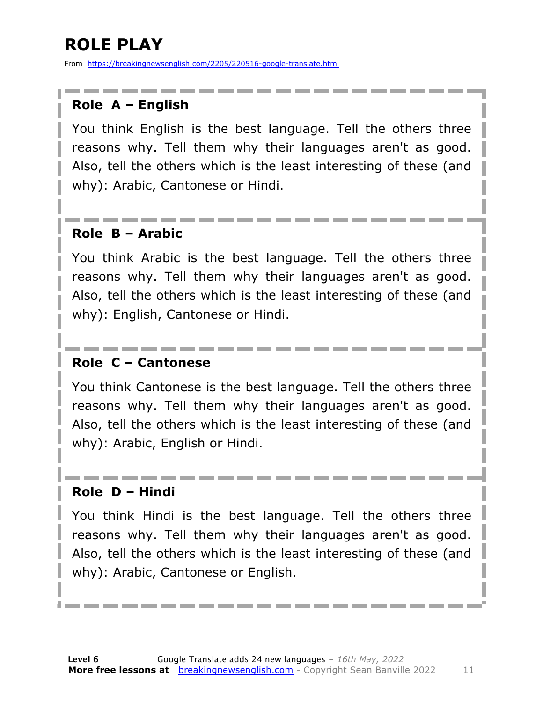### **ROLE PLAY**

From https://breakingnewsenglish.com/2205/220516-google-translate.html

#### **Role A – English**

You think English is the best language. Tell the others three reasons why. Tell them why their languages aren't as good. Also, tell the others which is the least interesting of these (and why): Arabic, Cantonese or Hindi.

#### **Role B – Arabic**

You think Arabic is the best language. Tell the others three reasons why. Tell them why their languages aren't as good. Also, tell the others which is the least interesting of these (and why): English, Cantonese or Hindi.

#### **Role C – Cantonese**

You think Cantonese is the best language. Tell the others three reasons why. Tell them why their languages aren't as good. Also, tell the others which is the least interesting of these (and why): Arabic, English or Hindi.

#### **Role D – Hindi**

You think Hindi is the best language. Tell the others three reasons why. Tell them why their languages aren't as good. Also, tell the others which is the least interesting of these (and why): Arabic, Cantonese or English.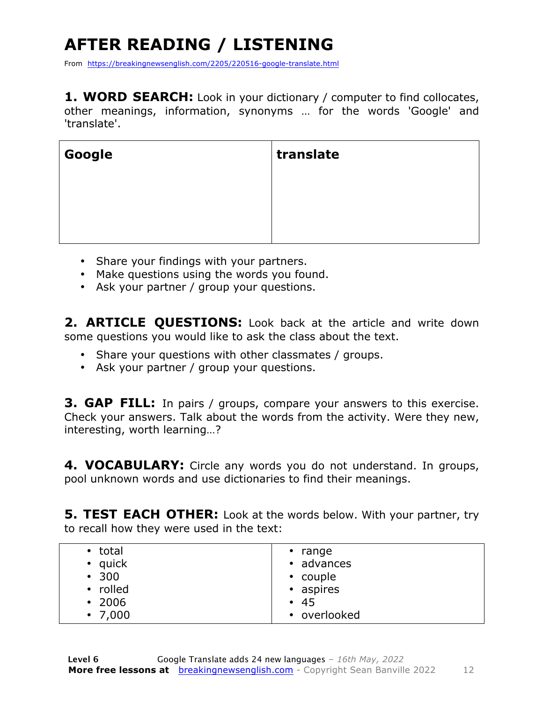### **AFTER READING / LISTENING**

From https://breakingnewsenglish.com/2205/220516-google-translate.html

**1. WORD SEARCH:** Look in your dictionary / computer to find collocates, other meanings, information, synonyms … for the words 'Google' and 'translate'.

| Google | translate |
|--------|-----------|
|        |           |
|        |           |

- Share your findings with your partners.
- Make questions using the words you found.
- Ask your partner / group your questions.

2. **ARTICLE QUESTIONS:** Look back at the article and write down some questions you would like to ask the class about the text.

- Share your questions with other classmates / groups.
- Ask your partner / group your questions.

**3. GAP FILL:** In pairs / groups, compare your answers to this exercise. Check your answers. Talk about the words from the activity. Were they new, interesting, worth learning…?

**4. VOCABULARY:** Circle any words you do not understand. In groups, pool unknown words and use dictionaries to find their meanings.

**5. TEST EACH OTHER:** Look at the words below. With your partner, try to recall how they were used in the text:

| • total<br>• quick<br>• 300<br>• rolled | $\cdot$ range<br>• advances<br>• couple<br>• aspires |
|-----------------------------------------|------------------------------------------------------|
| $\cdot$ 2006                            | • 45                                                 |
| $\cdot$ 7,000                           | • overlooked                                         |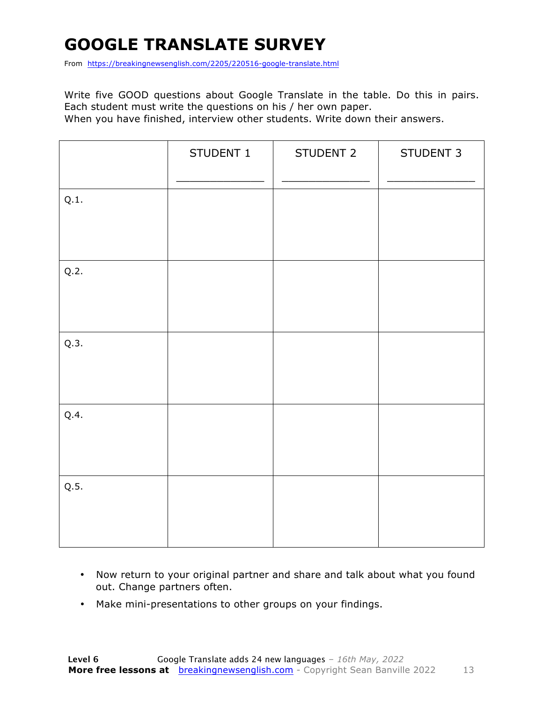### **GOOGLE TRANSLATE SURVEY**

From https://breakingnewsenglish.com/2205/220516-google-translate.html

Write five GOOD questions about Google Translate in the table. Do this in pairs. Each student must write the questions on his / her own paper.

When you have finished, interview other students. Write down their answers.

|      | STUDENT 1 | STUDENT 2 | STUDENT 3 |
|------|-----------|-----------|-----------|
| Q.1. |           |           |           |
| Q.2. |           |           |           |
| Q.3. |           |           |           |
| Q.4. |           |           |           |
| Q.5. |           |           |           |

- Now return to your original partner and share and talk about what you found out. Change partners often.
- Make mini-presentations to other groups on your findings.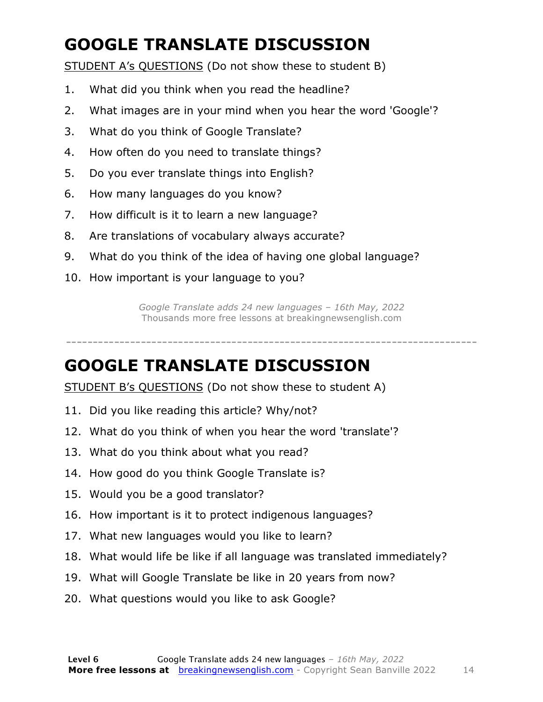### **GOOGLE TRANSLATE DISCUSSION**

STUDENT A's QUESTIONS (Do not show these to student B)

- 1. What did you think when you read the headline?
- 2. What images are in your mind when you hear the word 'Google'?
- 3. What do you think of Google Translate?
- 4. How often do you need to translate things?
- 5. Do you ever translate things into English?
- 6. How many languages do you know?
- 7. How difficult is it to learn a new language?
- 8. Are translations of vocabulary always accurate?
- 9. What do you think of the idea of having one global language?
- 10. How important is your language to you?

*Google Translate adds 24 new languages – 16th May, 2022* Thousands more free lessons at breakingnewsenglish.com

-----------------------------------------------------------------------------

#### **GOOGLE TRANSLATE DISCUSSION**

STUDENT B's QUESTIONS (Do not show these to student A)

- 11. Did you like reading this article? Why/not?
- 12. What do you think of when you hear the word 'translate'?
- 13. What do you think about what you read?
- 14. How good do you think Google Translate is?
- 15. Would you be a good translator?
- 16. How important is it to protect indigenous languages?
- 17. What new languages would you like to learn?
- 18. What would life be like if all language was translated immediately?
- 19. What will Google Translate be like in 20 years from now?
- 20. What questions would you like to ask Google?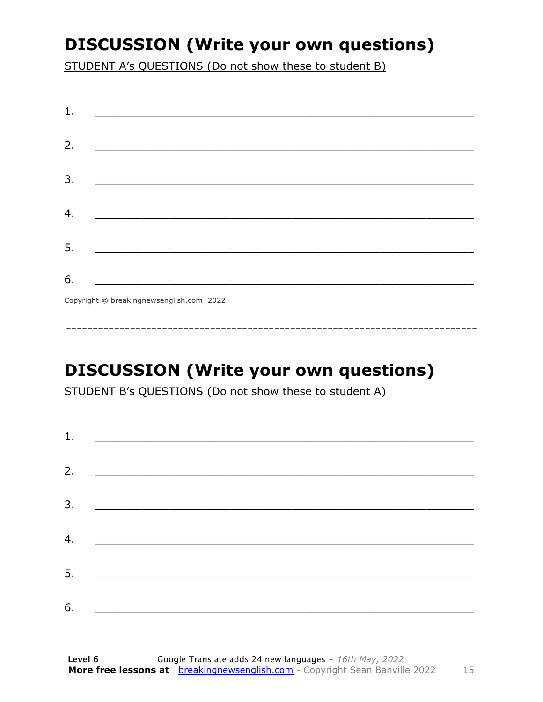### **DISCUSSION (Write your own questions)**

STUDENT A's QUESTIONS (Do not show these to student B)

| 1. |                                          |
|----|------------------------------------------|
|    |                                          |
| 2. |                                          |
|    |                                          |
| 3. |                                          |
|    |                                          |
|    |                                          |
| 4. |                                          |
|    |                                          |
| 5. |                                          |
|    |                                          |
| 6. |                                          |
|    | Copyright © breakingnewsenglish.com 2022 |

### **DISCUSSION (Write your own questions)**

STUDENT B's QUESTIONS (Do not show these to student A)

| 1. |                                                                     |  |  |
|----|---------------------------------------------------------------------|--|--|
|    |                                                                     |  |  |
| 2. | <u> 1980 - Andrea Stadt British, fransk politik (d. 1980)</u>       |  |  |
| 3. | <u> 1980 - Andrea Andrew Maria (h. 19</u>                           |  |  |
| 4. |                                                                     |  |  |
|    | <u> 1989 - Johann Stoff, fransk politik (d. 1989)</u>               |  |  |
| 5. | <u> 1980 - Jan Stein Stein, fransk politik amerikansk politik (</u> |  |  |
| 6. | <u> 1989 - Johann Barbara, martxa alemaniar a</u>                   |  |  |
|    |                                                                     |  |  |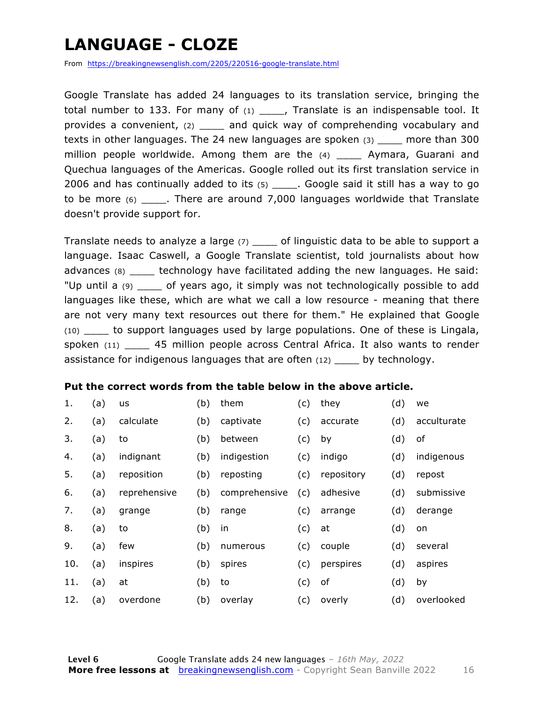### **LANGUAGE - CLOZE**

From https://breakingnewsenglish.com/2205/220516-google-translate.html

Google Translate has added 24 languages to its translation service, bringing the total number to 133. For many of  $(1)$  \_\_\_\_, Translate is an indispensable tool. It provides a convenient, (2) \_\_\_\_ and quick way of comprehending vocabulary and texts in other languages. The 24 new languages are spoken (3) \_\_\_\_ more than 300 million people worldwide. Among them are the (4) \_\_\_\_\_ Aymara, Guarani and Quechua languages of the Americas. Google rolled out its first translation service in 2006 and has continually added to its  $(5)$  . Google said it still has a way to go to be more (6) \_\_\_\_. There are around 7,000 languages worldwide that Translate doesn't provide support for.

Translate needs to analyze a large (7) \_\_\_\_ of linguistic data to be able to support a language. Isaac Caswell, a Google Translate scientist, told journalists about how advances (8) \_\_\_\_ technology have facilitated adding the new languages. He said: "Up until a (9) \_\_\_\_ of years ago, it simply was not technologically possible to add languages like these, which are what we call a low resource - meaning that there are not very many text resources out there for them." He explained that Google (10) \_\_\_\_ to support languages used by large populations. One of these is Lingala, spoken (11) \_\_\_\_ 45 million people across Central Africa. It also wants to render assistance for indigenous languages that are often (12) by technology.

#### **Put the correct words from the table below in the above article.**

| 1.  | (a) | <b>us</b>    | (b) | them          | (c) | they       | (d) | we          |
|-----|-----|--------------|-----|---------------|-----|------------|-----|-------------|
| 2.  | (a) | calculate    | (b) | captivate     | (c) | accurate   | (d) | acculturate |
| 3.  | (a) | to           | (b) | between       | (c) | by         | (d) | of          |
| 4.  | (a) | indignant    | (b) | indigestion   | (c) | indigo     | (d) | indigenous  |
| 5.  | (a) | reposition   | (b) | reposting     | (c) | repository | (d) | repost      |
| 6.  | (a) | reprehensive | (b) | comprehensive | (c) | adhesive   | (d) | submissive  |
| 7.  | (a) | grange       | (b) | range         | (c) | arrange    | (d) | derange     |
| 8.  | (a) | to           | (b) | in            | (c) | at         | (d) | on          |
| 9.  | (a) | few          | (b) | numerous      | (c) | couple     | (d) | several     |
| 10. | (a) | inspires     | (b) | spires        | (c) | perspires  | (d) | aspires     |
| 11. | (a) | at           | (b) | to            | (c) | of         | (d) | by          |
| 12. | (a) | overdone     | (b) | overlay       | (c) | overly     | (d) | overlooked  |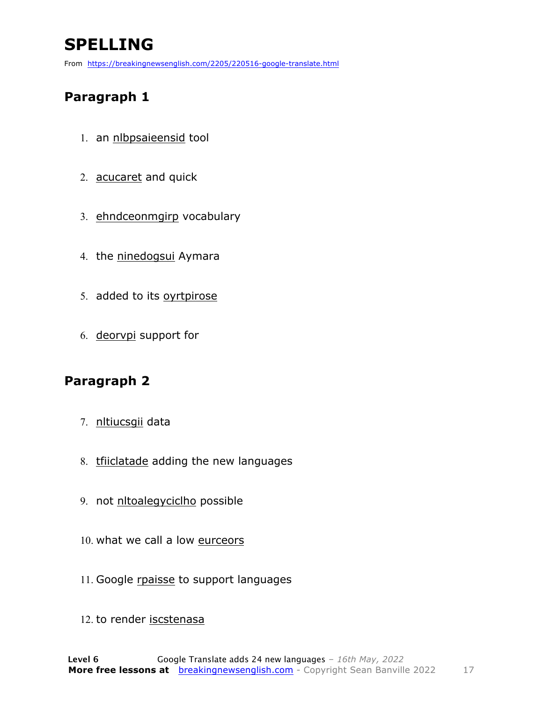### **SPELLING**

From https://breakingnewsenglish.com/2205/220516-google-translate.html

#### **Paragraph 1**

- 1. an nlbpsaieensid tool
- 2. acucaret and quick
- 3. ehndceonmgirp vocabulary
- 4. the ninedogsui Aymara
- 5. added to its oyrtpirose
- 6. deorvpi support for

#### **Paragraph 2**

- 7. nltiucsgii data
- 8. triiclatade adding the new languages
- 9. not nltoalegyciclho possible
- 10. what we call a low eurceors
- 11. Google rpaisse to support languages
- 12. to render iscstenasa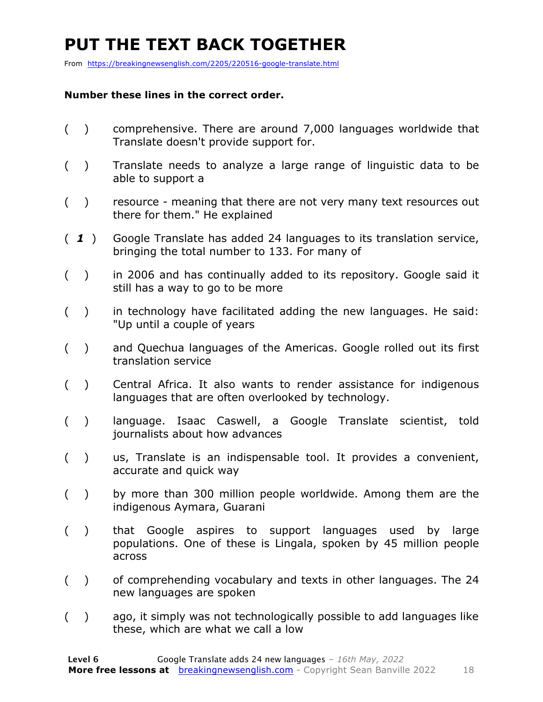### **PUT THE TEXT BACK TOGETHER**

From https://breakingnewsenglish.com/2205/220516-google-translate.html

#### **Number these lines in the correct order.**

- ( ) comprehensive. There are around 7,000 languages worldwide that Translate doesn't provide support for.
- ( ) Translate needs to analyze a large range of linguistic data to be able to support a
- ( ) resource meaning that there are not very many text resources out there for them." He explained
- ( *1* ) Google Translate has added 24 languages to its translation service, bringing the total number to 133. For many of
- ( ) in 2006 and has continually added to its repository. Google said it still has a way to go to be more
- ( ) in technology have facilitated adding the new languages. He said: "Up until a couple of years
- ( ) and Quechua languages of the Americas. Google rolled out its first translation service
- ( ) Central Africa. It also wants to render assistance for indigenous languages that are often overlooked by technology.
- ( ) language. Isaac Caswell, a Google Translate scientist, told journalists about how advances
- ( ) us, Translate is an indispensable tool. It provides a convenient, accurate and quick way
- ( ) by more than 300 million people worldwide. Among them are the indigenous Aymara, Guarani
- ( ) that Google aspires to support languages used by large populations. One of these is Lingala, spoken by 45 million people across
- ( ) of comprehending vocabulary and texts in other languages. The 24 new languages are spoken
- ( ) ago, it simply was not technologically possible to add languages like these, which are what we call a low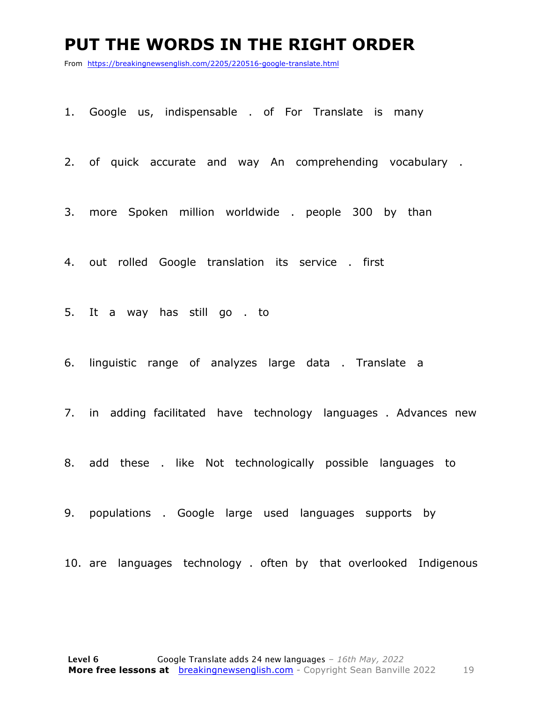#### **PUT THE WORDS IN THE RIGHT ORDER**

From https://breakingnewsenglish.com/2205/220516-google-translate.html

1. Google us, indispensable . of For Translate is many

2. of quick accurate and way An comprehending vocabulary .

3. more Spoken million worldwide . people 300 by than

4. out rolled Google translation its service . first

5. It a way has still go . to

6. linguistic range of analyzes large data . Translate a

7. in adding facilitated have technology languages . Advances new

8. add these . like Not technologically possible languages to

9. populations . Google large used languages supports by

10. are languages technology . often by that overlooked Indigenous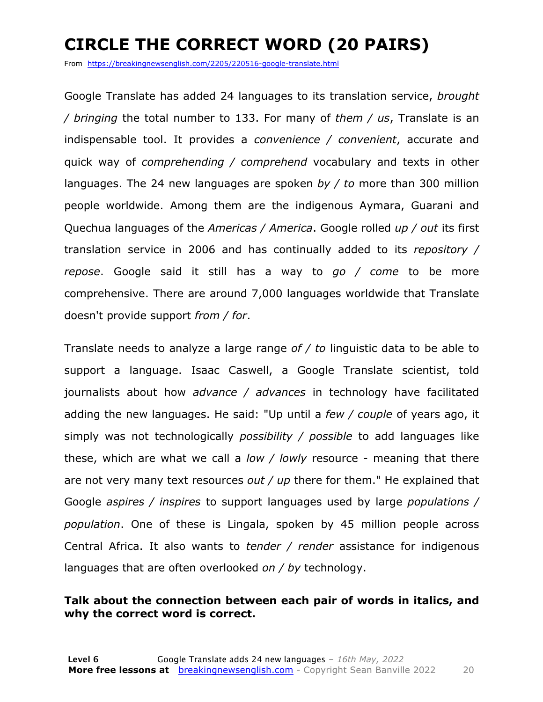### **CIRCLE THE CORRECT WORD (20 PAIRS)**

From https://breakingnewsenglish.com/2205/220516-google-translate.html

Google Translate has added 24 languages to its translation service, *brought / bringing* the total number to 133. For many of *them / us*, Translate is an indispensable tool. It provides a *convenience / convenient*, accurate and quick way of *comprehending / comprehend* vocabulary and texts in other languages. The 24 new languages are spoken *by / to* more than 300 million people worldwide. Among them are the indigenous Aymara, Guarani and Quechua languages of the *Americas / America*. Google rolled *up / out* its first translation service in 2006 and has continually added to its *repository / repose*. Google said it still has a way to *go / come* to be more comprehensive. There are around 7,000 languages worldwide that Translate doesn't provide support *from / for*.

Translate needs to analyze a large range *of / to* linguistic data to be able to support a language. Isaac Caswell, a Google Translate scientist, told journalists about how *advance / advances* in technology have facilitated adding the new languages. He said: "Up until a *few / couple* of years ago, it simply was not technologically *possibility / possible* to add languages like these, which are what we call a *low / lowly* resource - meaning that there are not very many text resources *out / up* there for them." He explained that Google *aspires / inspires* to support languages used by large *populations / population*. One of these is Lingala, spoken by 45 million people across Central Africa. It also wants to *tender / render* assistance for indigenous languages that are often overlooked *on / by* technology.

#### **Talk about the connection between each pair of words in italics, and why the correct word is correct.**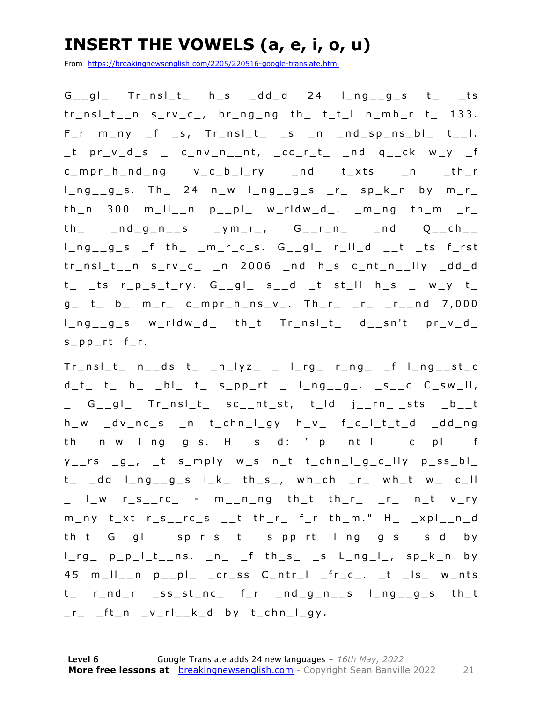### **INSERT THE VOWELS (a, e, i, o, u)**

From https://breakingnewsenglish.com/2205/220516-google-translate.html

 $G_g = g_1$  Tr\_nsl\_t\_ h\_s \_dd\_d 24 l\_ng\_\_g\_s t\_ \_ts  $tr_ns_l_t_l$ n s\_rv\_c\_, br\_ng\_ng th\_ t\_t\_l n\_mb\_r t\_ 133.  $F_r$  m\_ny  $_f$  s,  $Tr_n s l_t$  is  $n$  nd sp\_ns\_bl\_  $t$ \_l.  $_t$  pr\_v\_d\_s \_ c\_nv\_n\_\_nt, \_cc\_r\_t\_ \_nd q\_\_ck w\_y \_f c\_mpr\_h\_nd\_ng v\_c\_b\_l\_ry \_nd t\_xts \_n \_th\_r  $l_n = g_s$ . Th 24 n\_w  $l_n = g_s$   $r_n = s_p$  by m\_r\_  $th_n$  300 m\_II\_\_n  $p_{p}$  $p_1$  w\_rldw\_d\_. \_m\_ng  $th_m$  \_r\_  $th$   $\_nd$   $g$   $n$   $\_s$   $\_ym$   $r$   $\_$ ,  $G$   $\_r$   $\_n$   $\_nd$   $Q$   $\_ch$   $\_$  $l_n = g_s$   $f$  th  $m_r_c$ ,  $G_{g-1}$ ,  $r_l = d_{r-1}$  ts f tr\_nsl\_t\_\_n s\_rv\_c\_ \_n 2006 \_nd h\_s c\_nt\_n\_\_lly \_dd\_d  $t_{-}$  \_ts r\_p\_s\_t\_ry. G\_\_gl\_ s\_\_d \_t st\_ll h\_s \_ w\_y t\_ g\_ t\_ b\_ m\_r\_ c\_mpr\_h\_ns\_v\_. Th\_r\_ \_r\_ \_r\_\_nd 7,000 l\_ng\_\_g\_s w\_rldw\_d\_ th\_t Tr\_nsl\_t\_ d\_\_sn't pr\_v\_d\_ s\_pp\_rt f\_r.

 $Tr\_nsl_t$   $n\_ds$   $t_$   $n_l$ yz<sub></sub>  $_l$   $l_rg$   $r_n$ g  $r_f$   $l_n$ g  $st_c$  $d_t$  t\_ b\_ \_b|\_ t\_ s\_pp\_rt \_ l\_ng\_\_g\_. \_s\_\_c C\_sw\_ll, \_ G\_\_gl\_ Tr\_nsl\_t\_ sc\_\_nt\_st, t\_ld j\_\_rn\_l\_sts \_b\_\_t h\_w \_dv\_nc\_s \_n t\_chn\_l\_gy h\_v\_ f\_c\_l\_t\_t\_d \_dd\_ng  $th$   $n_w$   $l$   $n_g$   $l$   $s$ .  $H$   $s$   $s$   $d$ :  $n_p$   $nt$   $l$   $s$   $r$   $r$   $s$   $r$  $y_{--}$ rs  $_g_{-}$ ,  $_t$  s $_m$ ply w $_s$  n $_t$  t $_c$ chn $_g_{c}$  $_{c}$ lly  $p_{s}$ ss $_b$ l $_s$ t\_ \_dd l\_ng\_\_g\_s l\_k\_ th\_s\_, wh\_ch \_r\_ wh\_t w\_ c\_ll \_ l\_w r\_s\_\_rc\_ - m\_\_n\_ng th\_t th\_r\_ \_r\_ n\_t v\_ry m\_ny t\_xt r\_s\_\_rc\_s \_\_t th\_r\_ f\_r th\_m." H\_ \_xpl\_\_n\_d  $th_t$  G\_\_gl\_ \_sp\_r\_s  $t$  s\_pp\_rt l\_ng\_\_g\_s \_s\_d by  $l_rg_p$  p\_p\_ $l_t$ \_ns.  $n$   $f$  th s\_  $s$  L\_ng\_ $l_r$ , sp\_k\_n by 45 m\_ll\_\_n p\_\_pl\_ \_cr\_ss C\_ntr\_l \_fr\_c\_. \_t \_ls\_ w\_nts t\_ r\_nd\_r \_ss\_st\_nc\_ f\_r \_nd\_g\_n\_\_s l\_ng\_\_g\_s th\_t  $r_{-}$   $ft_{-}n$   $_v_{-}rl_{-}k_{-}d$  by  $t_{-}chn_{-}l_{-}gy$ .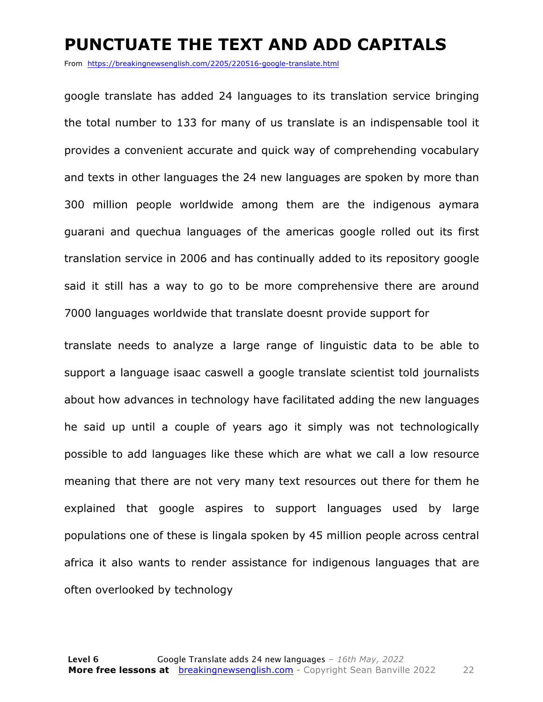### **PUNCTUATE THE TEXT AND ADD CAPITALS**

From https://breakingnewsenglish.com/2205/220516-google-translate.html

google translate has added 24 languages to its translation service bringing the total number to 133 for many of us translate is an indispensable tool it provides a convenient accurate and quick way of comprehending vocabulary and texts in other languages the 24 new languages are spoken by more than 300 million people worldwide among them are the indigenous aymara guarani and quechua languages of the americas google rolled out its first translation service in 2006 and has continually added to its repository google said it still has a way to go to be more comprehensive there are around 7000 languages worldwide that translate doesnt provide support for

translate needs to analyze a large range of linguistic data to be able to support a language isaac caswell a google translate scientist told journalists about how advances in technology have facilitated adding the new languages he said up until a couple of years ago it simply was not technologically possible to add languages like these which are what we call a low resource meaning that there are not very many text resources out there for them he explained that google aspires to support languages used by large populations one of these is lingala spoken by 45 million people across central africa it also wants to render assistance for indigenous languages that are often overlooked by technology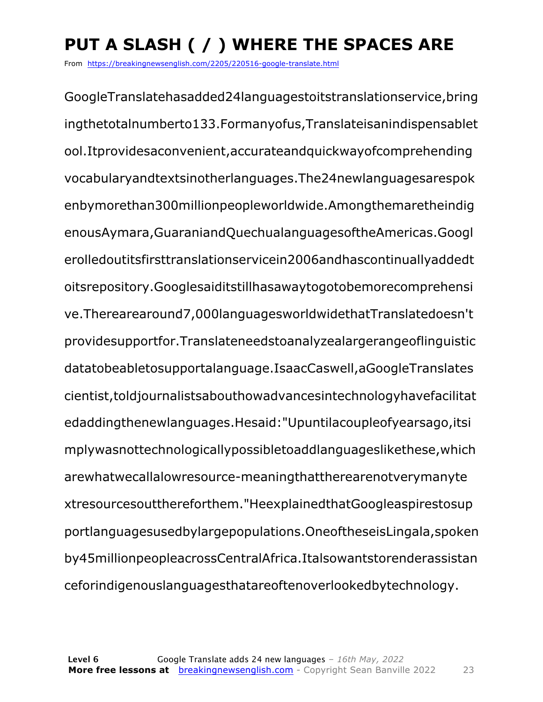### **PUT A SLASH ( / ) WHERE THE SPACES ARE**

From https://breakingnewsenglish.com/2205/220516-google-translate.html

GoogleTranslatehasadded24languagestoitstranslationservice,bring ingthetotalnumberto133.Formanyofus,Translateisanindispensablet ool.Itprovidesaconvenient,accurateandquickwayofcomprehending vocabularyandtextsinotherlanguages.The24newlanguagesarespok enbymorethan300millionpeopleworldwide.Amongthemaretheindig enousAymara,GuaraniandQuechualanguagesoftheAmericas.Googl erolledoutitsfirsttranslationservicein2006andhascontinuallyaddedt oitsrepository.Googlesaiditstillhasawaytogotobemorecomprehensi ve.Therearearound7,000languagesworldwidethatTranslatedoesn't providesupportfor.Translateneedstoanalyzealargerangeoflinguistic datatobeabletosupportalanguage.IsaacCaswell,aGoogleTranslates cientist,toldjournalistsabouthowadvancesintechnologyhavefacilitat edaddingthenewlanguages.Hesaid:"Upuntilacoupleofyearsago,itsi mplywasnottechnologicallypossibletoaddlanguageslikethese,which arewhatwecallalowresource-meaningthattherearenotverymanyte xtresourcesoutthereforthem."HeexplainedthatGoogleaspirestosup portlanguagesusedbylargepopulations.OneoftheseisLingala,spoken by45millionpeopleacrossCentralAfrica.Italsowantstorenderassistan ceforindigenouslanguagesthatareoftenoverlookedbytechnology.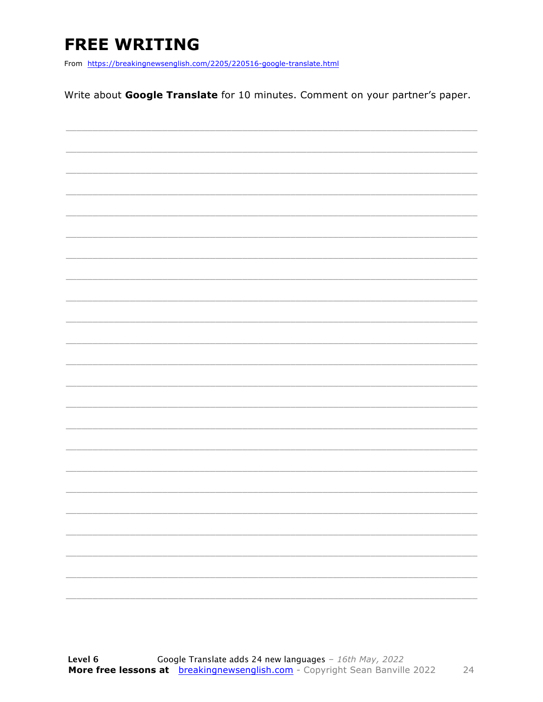### **FREE WRITING**

From https://breakingnewsenglish.com/2205/220516-google-translate.html

Write about Google Translate for 10 minutes. Comment on your partner's paper.

|  | - |
|--|---|
|  |   |
|  | ÷ |
|  |   |
|  |   |
|  |   |
|  |   |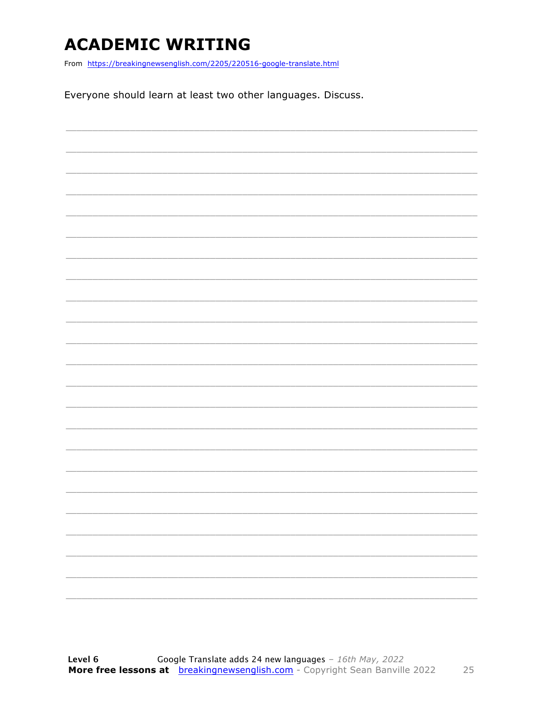### **ACADEMIC WRITING**

From https://breakingnewsenglish.com/2205/220516-google-translate.html

Everyone should learn at least two other languages. Discuss.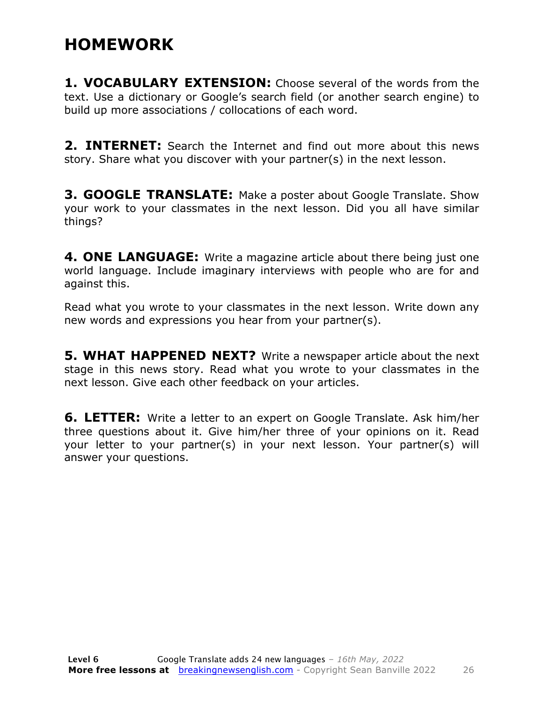### **HOMEWORK**

**1. VOCABULARY EXTENSION:** Choose several of the words from the text. Use a dictionary or Google's search field (or another search engine) to build up more associations / collocations of each word.

**2. INTERNET:** Search the Internet and find out more about this news story. Share what you discover with your partner(s) in the next lesson.

**3. GOOGLE TRANSLATE:** Make a poster about Google Translate. Show your work to your classmates in the next lesson. Did you all have similar things?

**4. ONE LANGUAGE:** Write a magazine article about there being just one world language. Include imaginary interviews with people who are for and against this.

Read what you wrote to your classmates in the next lesson. Write down any new words and expressions you hear from your partner(s).

**5. WHAT HAPPENED NEXT?** Write a newspaper article about the next stage in this news story. Read what you wrote to your classmates in the next lesson. Give each other feedback on your articles.

**6. LETTER:** Write a letter to an expert on Google Translate. Ask him/her three questions about it. Give him/her three of your opinions on it. Read your letter to your partner(s) in your next lesson. Your partner(s) will answer your questions.